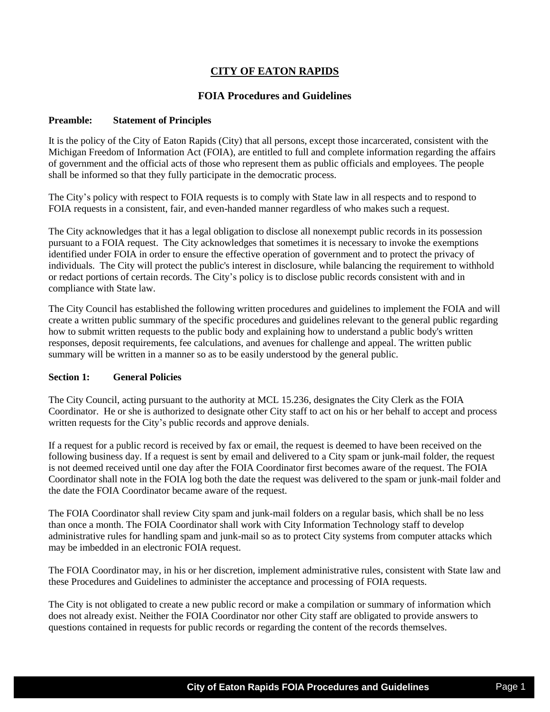# **CITY OF EATON RAPIDS**

# **FOIA Procedures and Guidelines**

#### **Preamble: Statement of Principles**

It is the policy of the City of Eaton Rapids (City) that all persons, except those incarcerated, consistent with the Michigan Freedom of Information Act (FOIA), are entitled to full and complete information regarding the affairs of government and the official acts of those who represent them as public officials and employees. The people shall be informed so that they fully participate in the democratic process.

The City's policy with respect to FOIA requests is to comply with State law in all respects and to respond to FOIA requests in a consistent, fair, and even-handed manner regardless of who makes such a request.

The City acknowledges that it has a legal obligation to disclose all nonexempt public records in its possession pursuant to a FOIA request. The City acknowledges that sometimes it is necessary to invoke the exemptions identified under FOIA in order to ensure the effective operation of government and to protect the privacy of individuals. The City will protect the public's interest in disclosure, while balancing the requirement to withhold or redact portions of certain records. The City's policy is to disclose public records consistent with and in compliance with State law.

The City Council has established the following written procedures and guidelines to implement the FOIA and will create a written public summary of the specific procedures and guidelines relevant to the general public regarding how to submit written requests to the public body and explaining how to understand a public body's written responses, deposit requirements, fee calculations, and avenues for challenge and appeal. The written public summary will be written in a manner so as to be easily understood by the general public.

## **Section 1: General Policies**

The City Council, acting pursuant to the authority at MCL 15.236, designates the City Clerk as the FOIA Coordinator. He or she is authorized to designate other City staff to act on his or her behalf to accept and process written requests for the City's public records and approve denials.

If a request for a public record is received by fax or email, the request is deemed to have been received on the following business day. If a request is sent by email and delivered to a City spam or junk-mail folder, the request is not deemed received until one day after the FOIA Coordinator first becomes aware of the request. The FOIA Coordinator shall note in the FOIA log both the date the request was delivered to the spam or junk-mail folder and the date the FOIA Coordinator became aware of the request.

The FOIA Coordinator shall review City spam and junk-mail folders on a regular basis, which shall be no less than once a month. The FOIA Coordinator shall work with City Information Technology staff to develop administrative rules for handling spam and junk-mail so as to protect City systems from computer attacks which may be imbedded in an electronic FOIA request.

The FOIA Coordinator may, in his or her discretion, implement administrative rules, consistent with State law and these Procedures and Guidelines to administer the acceptance and processing of FOIA requests.

The City is not obligated to create a new public record or make a compilation or summary of information which does not already exist. Neither the FOIA Coordinator nor other City staff are obligated to provide answers to questions contained in requests for public records or regarding the content of the records themselves.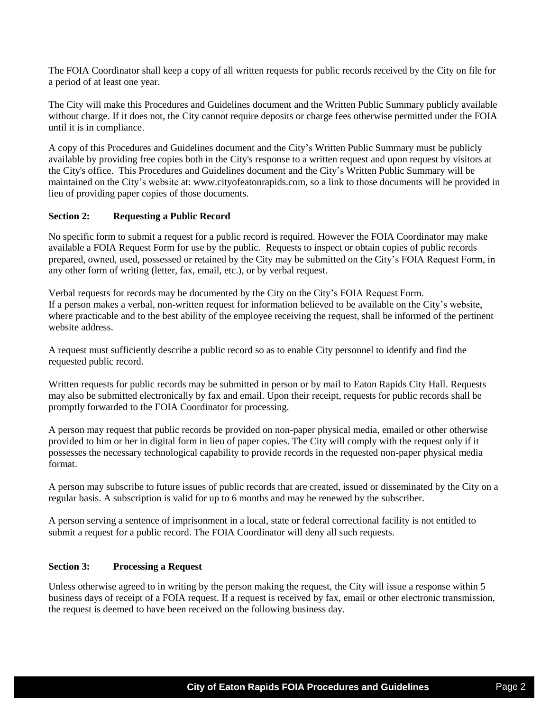The FOIA Coordinator shall keep a copy of all written requests for public records received by the City on file for a period of at least one year.

The City will make this Procedures and Guidelines document and the Written Public Summary publicly available without charge. If it does not, the City cannot require deposits or charge fees otherwise permitted under the FOIA until it is in compliance.

A copy of this Procedures and Guidelines document and the City's Written Public Summary must be publicly available by providing free copies both in the City's response to a written request and upon request by visitors at the City's office. This Procedures and Guidelines document and the City's Written Public Summary will be maintained on the City's website at: www.cityofeatonrapids.com, so a link to those documents will be provided in lieu of providing paper copies of those documents.

## **Section 2: Requesting a Public Record**

No specific form to submit a request for a public record is required. However the FOIA Coordinator may make available a FOIA Request Form for use by the public. Requests to inspect or obtain copies of public records prepared, owned, used, possessed or retained by the City may be submitted on the City's FOIA Request Form, in any other form of writing (letter, fax, email, etc.), or by verbal request.

Verbal requests for records may be documented by the City on the City's FOIA Request Form. If a person makes a verbal, non-written request for information believed to be available on the City's website, where practicable and to the best ability of the employee receiving the request, shall be informed of the pertinent website address.

A request must sufficiently describe a public record so as to enable City personnel to identify and find the requested public record.

Written requests for public records may be submitted in person or by mail to Eaton Rapids City Hall. Requests may also be submitted electronically by fax and email. Upon their receipt, requests for public records shall be promptly forwarded to the FOIA Coordinator for processing.

A person may request that public records be provided on non-paper physical media, emailed or other otherwise provided to him or her in digital form in lieu of paper copies. The City will comply with the request only if it possesses the necessary technological capability to provide records in the requested non-paper physical media format.

A person may subscribe to future issues of public records that are created, issued or disseminated by the City on a regular basis. A subscription is valid for up to 6 months and may be renewed by the subscriber.

A person serving a sentence of imprisonment in a local, state or federal correctional facility is not entitled to submit a request for a public record. The FOIA Coordinator will deny all such requests.

#### **Section 3: Processing a Request**

Unless otherwise agreed to in writing by the person making the request, the City will issue a response within 5 business days of receipt of a FOIA request. If a request is received by fax, email or other electronic transmission, the request is deemed to have been received on the following business day.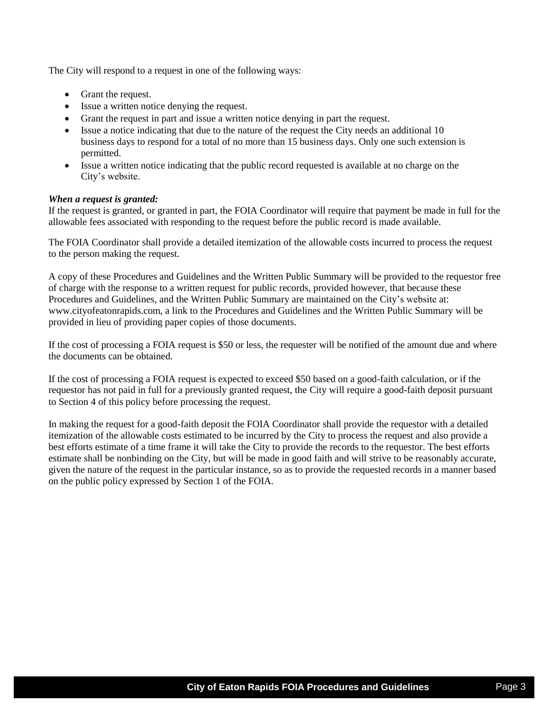The City will respond to a request in one of the following ways:

- Grant the request.
- Issue a written notice denying the request.
- Grant the request in part and issue a written notice denying in part the request.
- Issue a notice indicating that due to the nature of the request the City needs an additional 10 business days to respond for a total of no more than 15 business days. Only one such extension is permitted.
- Issue a written notice indicating that the public record requested is available at no charge on the City's website.

## *When a request is granted:*

If the request is granted, or granted in part, the FOIA Coordinator will require that payment be made in full for the allowable fees associated with responding to the request before the public record is made available.

The FOIA Coordinator shall provide a detailed itemization of the allowable costs incurred to process the request to the person making the request.

A copy of these Procedures and Guidelines and the Written Public Summary will be provided to the requestor free of charge with the response to a written request for public records, provided however, that because these Procedures and Guidelines, and the Written Public Summary are maintained on the City's website at: www.cityofeatonrapids.com, a link to the Procedures and Guidelines and the Written Public Summary will be provided in lieu of providing paper copies of those documents.

If the cost of processing a FOIA request is \$50 or less, the requester will be notified of the amount due and where the documents can be obtained.

If the cost of processing a FOIA request is expected to exceed \$50 based on a good-faith calculation, or if the requestor has not paid in full for a previously granted request, the City will require a good-faith deposit pursuant to Section 4 of this policy before processing the request.

In making the request for a good-faith deposit the FOIA Coordinator shall provide the requestor with a detailed itemization of the allowable costs estimated to be incurred by the City to process the request and also provide a best efforts estimate of a time frame it will take the City to provide the records to the requestor. The best efforts estimate shall be nonbinding on the City, but will be made in good faith and will strive to be reasonably accurate, given the nature of the request in the particular instance, so as to provide the requested records in a manner based on the public policy expressed by Section 1 of the FOIA.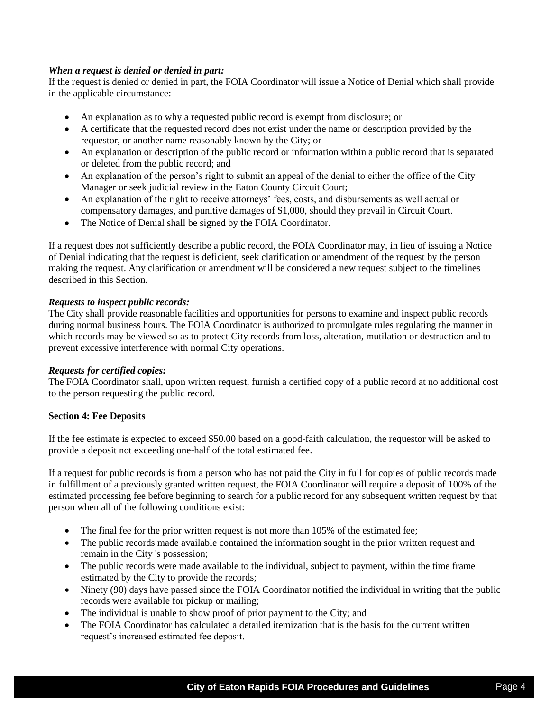# *When a request is denied or denied in part:*

If the request is denied or denied in part, the FOIA Coordinator will issue a Notice of Denial which shall provide in the applicable circumstance:

- An explanation as to why a requested public record is exempt from disclosure; or
- A certificate that the requested record does not exist under the name or description provided by the requestor, or another name reasonably known by the City; or
- An explanation or description of the public record or information within a public record that is separated or deleted from the public record; and
- An explanation of the person's right to submit an appeal of the denial to either the office of the City Manager or seek judicial review in the Eaton County Circuit Court;
- An explanation of the right to receive attorneys' fees, costs, and disbursements as well actual or compensatory damages, and punitive damages of \$1,000, should they prevail in Circuit Court.
- The Notice of Denial shall be signed by the FOIA Coordinator.

If a request does not sufficiently describe a public record, the FOIA Coordinator may, in lieu of issuing a Notice of Denial indicating that the request is deficient, seek clarification or amendment of the request by the person making the request. Any clarification or amendment will be considered a new request subject to the timelines described in this Section.

# *Requests to inspect public records:*

The City shall provide reasonable facilities and opportunities for persons to examine and inspect public records during normal business hours. The FOIA Coordinator is authorized to promulgate rules regulating the manner in which records may be viewed so as to protect City records from loss, alteration, mutilation or destruction and to prevent excessive interference with normal City operations.

## *Requests for certified copies:*

The FOIA Coordinator shall, upon written request, furnish a certified copy of a public record at no additional cost to the person requesting the public record.

## **Section 4: Fee Deposits**

If the fee estimate is expected to exceed \$50.00 based on a good-faith calculation, the requestor will be asked to provide a deposit not exceeding one-half of the total estimated fee.

If a request for public records is from a person who has not paid the City in full for copies of public records made in fulfillment of a previously granted written request, the FOIA Coordinator will require a deposit of 100% of the estimated processing fee before beginning to search for a public record for any subsequent written request by that person when all of the following conditions exist:

- The final fee for the prior written request is not more than 105% of the estimated fee;
- The public records made available contained the information sought in the prior written request and remain in the City 's possession;
- The public records were made available to the individual, subject to payment, within the time frame estimated by the City to provide the records;
- Ninety (90) days have passed since the FOIA Coordinator notified the individual in writing that the public records were available for pickup or mailing;
- The individual is unable to show proof of prior payment to the City; and
- The FOIA Coordinator has calculated a detailed itemization that is the basis for the current written request's increased estimated fee deposit.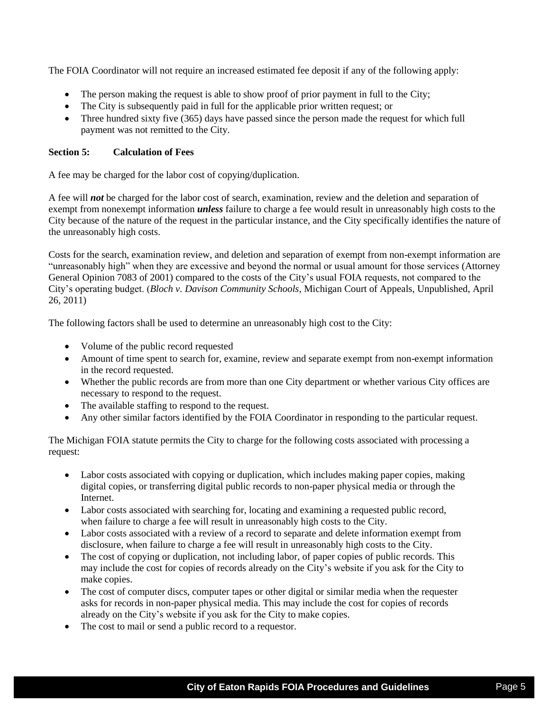The FOIA Coordinator will not require an increased estimated fee deposit if any of the following apply:

- The person making the request is able to show proof of prior payment in full to the City;
- The City is subsequently paid in full for the applicable prior written request; or
- Three hundred sixty five (365) days have passed since the person made the request for which full payment was not remitted to the City.

# **Section 5: Calculation of Fees**

A fee may be charged for the labor cost of copying/duplication.

A fee will *not* be charged for the labor cost of search, examination, review and the deletion and separation of exempt from nonexempt information *unless* failure to charge a fee would result in unreasonably high costs to the City because of the nature of the request in the particular instance, and the City specifically identifies the nature of the unreasonably high costs.

Costs for the search, examination review, and deletion and separation of exempt from non-exempt information are "unreasonably high" when they are excessive and beyond the normal or usual amount for those services (Attorney General Opinion 7083 of 2001) compared to the costs of the City's usual FOIA requests, not compared to the City's operating budget. (*Bloch v. Davison Community Schools*, Michigan Court of Appeals, Unpublished, April 26, 2011)

The following factors shall be used to determine an unreasonably high cost to the City:

- Volume of the public record requested
- Amount of time spent to search for, examine, review and separate exempt from non-exempt information in the record requested.
- Whether the public records are from more than one City department or whether various City offices are necessary to respond to the request.
- The available staffing to respond to the request.
- Any other similar factors identified by the FOIA Coordinator in responding to the particular request.

The Michigan FOIA statute permits the City to charge for the following costs associated with processing a request:

- Labor costs associated with copying or duplication, which includes making paper copies, making digital copies, or transferring digital public records to non-paper physical media or through the Internet.
- Labor costs associated with searching for, locating and examining a requested public record, when failure to charge a fee will result in unreasonably high costs to the City.
- Labor costs associated with a review of a record to separate and delete information exempt from disclosure, when failure to charge a fee will result in unreasonably high costs to the City.
- The cost of copying or duplication, not including labor, of paper copies of public records. This may include the cost for copies of records already on the City's website if you ask for the City to make copies.
- The cost of computer discs, computer tapes or other digital or similar media when the requester asks for records in non-paper physical media. This may include the cost for copies of records already on the City's website if you ask for the City to make copies.
- The cost to mail or send a public record to a requestor.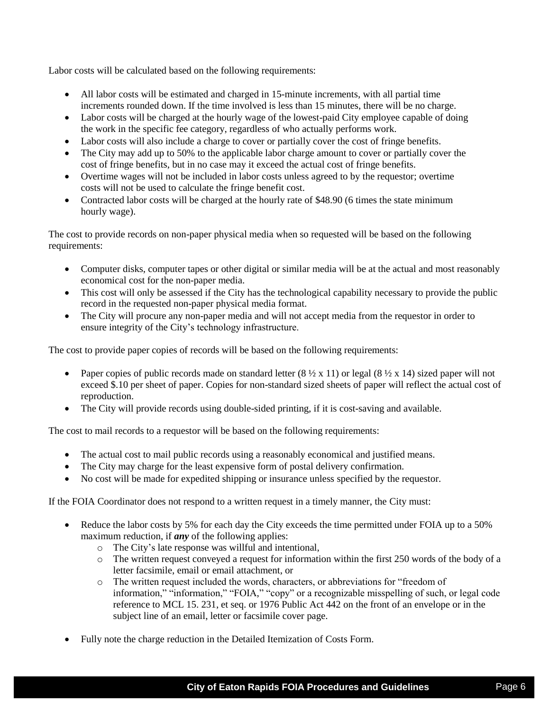Labor costs will be calculated based on the following requirements:

- All labor costs will be estimated and charged in 15-minute increments, with all partial time increments rounded down. If the time involved is less than 15 minutes, there will be no charge.
- Labor costs will be charged at the hourly wage of the lowest-paid City employee capable of doing the work in the specific fee category, regardless of who actually performs work.
- Labor costs will also include a charge to cover or partially cover the cost of fringe benefits.
- The City may add up to 50% to the applicable labor charge amount to cover or partially cover the cost of fringe benefits, but in no case may it exceed the actual cost of fringe benefits.
- Overtime wages will not be included in labor costs unless agreed to by the requestor; overtime costs will not be used to calculate the fringe benefit cost.
- Contracted labor costs will be charged at the hourly rate of \$48.90 (6 times the state minimum hourly wage).

The cost to provide records on non-paper physical media when so requested will be based on the following requirements:

- Computer disks, computer tapes or other digital or similar media will be at the actual and most reasonably economical cost for the non-paper media.
- This cost will only be assessed if the City has the technological capability necessary to provide the public record in the requested non-paper physical media format.
- The City will procure any non-paper media and will not accept media from the requestor in order to ensure integrity of the City's technology infrastructure.

The cost to provide paper copies of records will be based on the following requirements:

- Paper copies of public records made on standard letter  $(8 \frac{1}{2} \times 11)$  or legal  $(8 \frac{1}{2} \times 14)$  sized paper will not exceed \$.10 per sheet of paper. Copies for non-standard sized sheets of paper will reflect the actual cost of reproduction.
- The City will provide records using double-sided printing, if it is cost-saving and available.

The cost to mail records to a requestor will be based on the following requirements:

- The actual cost to mail public records using a reasonably economical and justified means.
- The City may charge for the least expensive form of postal delivery confirmation.
- No cost will be made for expedited shipping or insurance unless specified by the requestor.

If the FOIA Coordinator does not respond to a written request in a timely manner, the City must:

- Reduce the labor costs by 5% for each day the City exceeds the time permitted under FOIA up to a 50% maximum reduction, if *any* of the following applies:
	- o The City's late response was willful and intentional,
	- o The written request conveyed a request for information within the first 250 words of the body of a letter facsimile, email or email attachment, or
	- o The written request included the words, characters, or abbreviations for "freedom of information," "information," "FOIA," "copy" or a recognizable misspelling of such, or legal code reference to MCL 15. 231, et seq. or 1976 Public Act 442 on the front of an envelope or in the subject line of an email, letter or facsimile cover page.
- Fully note the charge reduction in the Detailed Itemization of Costs Form.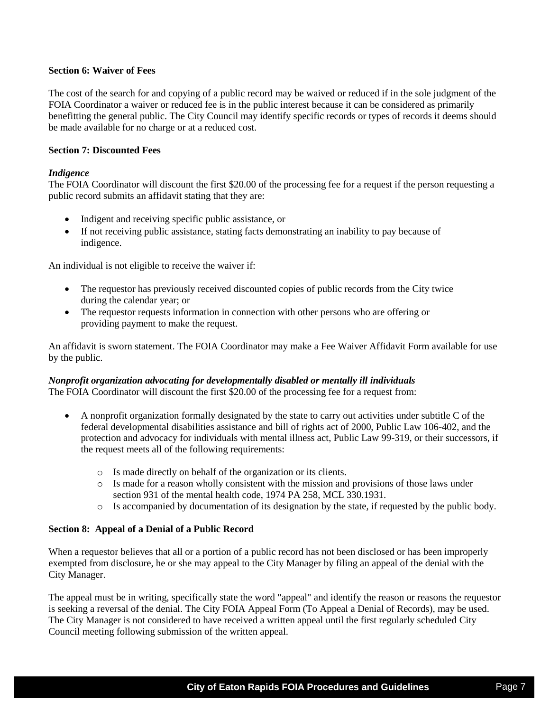#### **Section 6: Waiver of Fees**

The cost of the search for and copying of a public record may be waived or reduced if in the sole judgment of the FOIA Coordinator a waiver or reduced fee is in the public interest because it can be considered as primarily benefitting the general public. The City Council may identify specific records or types of records it deems should be made available for no charge or at a reduced cost.

#### **Section 7: Discounted Fees**

#### *Indigence*

The FOIA Coordinator will discount the first \$20.00 of the processing fee for a request if the person requesting a public record submits an affidavit stating that they are:

- Indigent and receiving specific public assistance, or
- If not receiving public assistance, stating facts demonstrating an inability to pay because of indigence.

An individual is not eligible to receive the waiver if:

- The requestor has previously received discounted copies of public records from the City twice during the calendar year; or
- The requestor requests information in connection with other persons who are offering or providing payment to make the request.

An affidavit is sworn statement. The FOIA Coordinator may make a Fee Waiver Affidavit Form available for use by the public.

# *Nonprofit organization advocating for developmentally disabled or mentally ill individuals*

The FOIA Coordinator will discount the first \$20.00 of the processing fee for a request from:

- A nonprofit organization formally designated by the state to carry out activities under subtitle C of the federal developmental disabilities assistance and bill of rights act of 2000, Public Law 106-402, and the protection and advocacy for individuals with mental illness act, Public Law 99-319, or their successors, if the request meets all of the following requirements:
	- o Is made directly on behalf of the organization or its clients.
	- o Is made for a reason wholly consistent with the mission and provisions of those laws under section 931 of the mental health code, 1974 PA 258, MCL 330.1931.
	- o Is accompanied by documentation of its designation by the state, if requested by the public body.

## **Section 8: Appeal of a Denial of a Public Record**

When a requestor believes that all or a portion of a public record has not been disclosed or has been improperly exempted from disclosure, he or she may appeal to the City Manager by filing an appeal of the denial with the City Manager.

The appeal must be in writing, specifically state the word "appeal" and identify the reason or reasons the requestor is seeking a reversal of the denial. The City FOIA Appeal Form (To Appeal a Denial of Records), may be used. The City Manager is not considered to have received a written appeal until the first regularly scheduled City Council meeting following submission of the written appeal.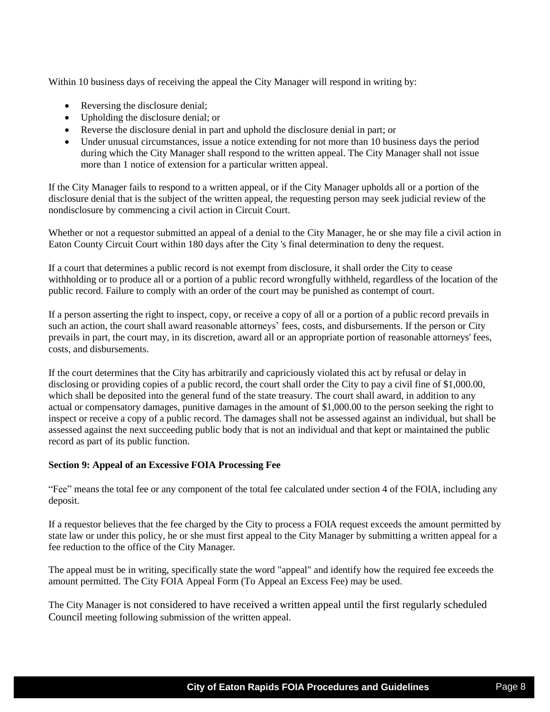Within 10 business days of receiving the appeal the City Manager will respond in writing by:

- Reversing the disclosure denial;
- Upholding the disclosure denial; or
- Reverse the disclosure denial in part and uphold the disclosure denial in part; or
- Under unusual circumstances, issue a notice extending for not more than 10 business days the period during which the City Manager shall respond to the written appeal. The City Manager shall not issue more than 1 notice of extension for a particular written appeal.

If the City Manager fails to respond to a written appeal, or if the City Manager upholds all or a portion of the disclosure denial that is the subject of the written appeal, the requesting person may seek judicial review of the nondisclosure by commencing a civil action in Circuit Court.

Whether or not a requestor submitted an appeal of a denial to the City Manager, he or she may file a civil action in Eaton County Circuit Court within 180 days after the City 's final determination to deny the request.

If a court that determines a public record is not exempt from disclosure, it shall order the City to cease withholding or to produce all or a portion of a public record wrongfully withheld, regardless of the location of the public record. Failure to comply with an order of the court may be punished as contempt of court.

If a person asserting the right to inspect, copy, or receive a copy of all or a portion of a public record prevails in such an action, the court shall award reasonable attorneys' fees, costs, and disbursements. If the person or City prevails in part, the court may, in its discretion, award all or an appropriate portion of reasonable attorneys' fees, costs, and disbursements.

If the court determines that the City has arbitrarily and capriciously violated this act by refusal or delay in disclosing or providing copies of a public record, the court shall order the City to pay a civil fine of \$1,000.00, which shall be deposited into the general fund of the state treasury. The court shall award, in addition to any actual or compensatory damages, punitive damages in the amount of \$1,000.00 to the person seeking the right to inspect or receive a copy of a public record. The damages shall not be assessed against an individual, but shall be assessed against the next succeeding public body that is not an individual and that kept or maintained the public record as part of its public function.

## **Section 9: Appeal of an Excessive FOIA Processing Fee**

"Fee" means the total fee or any component of the total fee calculated under section 4 of the FOIA, including any deposit.

If a requestor believes that the fee charged by the City to process a FOIA request exceeds the amount permitted by state law or under this policy, he or she must first appeal to the City Manager by submitting a written appeal for a fee reduction to the office of the City Manager*.*

The appeal must be in writing, specifically state the word "appeal" and identify how the required fee exceeds the amount permitted. The City FOIA Appeal Form (To Appeal an Excess Fee) may be used.

The City Manager is not considered to have received a written appeal until the first regularly scheduled Council meeting following submission of the written appeal.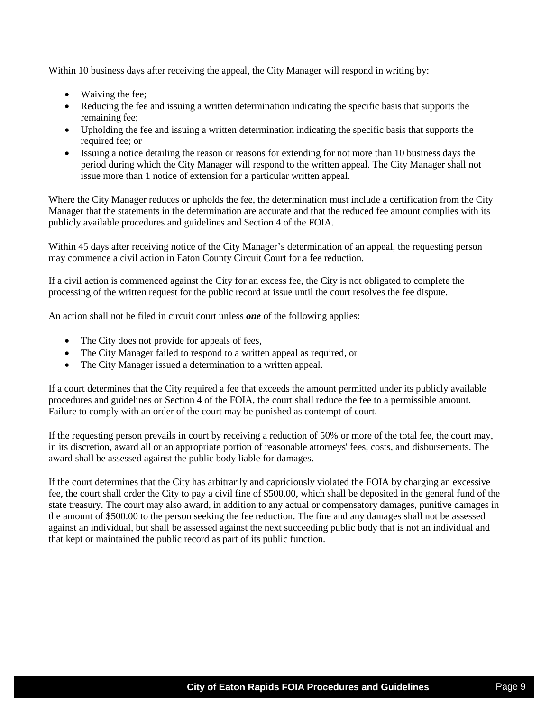Within 10 business days after receiving the appeal, the City Manager will respond in writing by:

- Waiving the fee;
- Reducing the fee and issuing a written determination indicating the specific basis that supports the remaining fee;
- Upholding the fee and issuing a written determination indicating the specific basis that supports the required fee; or
- Issuing a notice detailing the reason or reasons for extending for not more than 10 business days the period during which the City Manager will respond to the written appeal. The City Manager shall not issue more than 1 notice of extension for a particular written appeal.

Where the City Manager reduces or upholds the fee, the determination must include a certification from the City Manager that the statements in the determination are accurate and that the reduced fee amount complies with its publicly available procedures and guidelines and Section 4 of the FOIA.

Within 45 days after receiving notice of the City Manager's determination of an appeal, the requesting person may commence a civil action in Eaton County Circuit Court for a fee reduction.

If a civil action is commenced against the City for an excess fee, the City is not obligated to complete the processing of the written request for the public record at issue until the court resolves the fee dispute.

An action shall not be filed in circuit court unless *one* of the following applies:

- The City does not provide for appeals of fees,
- The City Manager failed to respond to a written appeal as required, or
- The City Manager issued a determination to a written appeal.

If a court determines that the City required a fee that exceeds the amount permitted under its publicly available procedures and guidelines or Section 4 of the FOIA, the court shall reduce the fee to a permissible amount. Failure to comply with an order of the court may be punished as contempt of court.

If the requesting person prevails in court by receiving a reduction of 50% or more of the total fee, the court may, in its discretion, award all or an appropriate portion of reasonable attorneys' fees, costs, and disbursements. The award shall be assessed against the public body liable for damages.

If the court determines that the City has arbitrarily and capriciously violated the FOIA by charging an excessive fee, the court shall order the City to pay a civil fine of \$500.00, which shall be deposited in the general fund of the state treasury. The court may also award, in addition to any actual or compensatory damages, punitive damages in the amount of \$500.00 to the person seeking the fee reduction. The fine and any damages shall not be assessed against an individual, but shall be assessed against the next succeeding public body that is not an individual and that kept or maintained the public record as part of its public function.